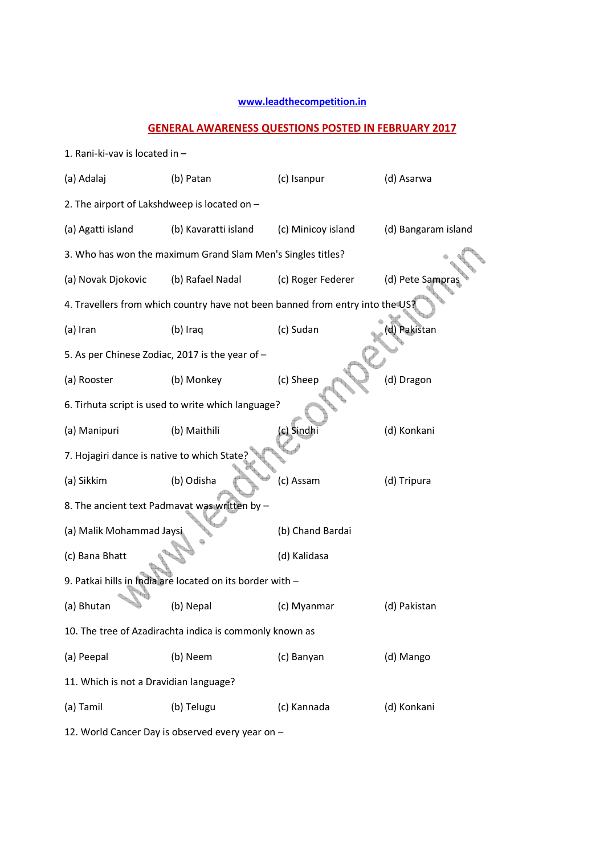## **www.leadthecompetition.in**

## **GENERAL AWARENESS QUESTIONS POSTED IN FEBRUARY 2017**

| (a) Adalaj                                              | (b) Patan                                                                     | (c) Isanpur        | (d) Asarwa          |  |
|---------------------------------------------------------|-------------------------------------------------------------------------------|--------------------|---------------------|--|
| 2. The airport of Lakshdweep is located on -            |                                                                               |                    |                     |  |
| (a) Agatti island                                       | (b) Kavaratti island                                                          | (c) Minicoy island | (d) Bangaram island |  |
|                                                         | 3. Who has won the maximum Grand Slam Men's Singles titles?                   |                    |                     |  |
| (a) Novak Djokovic                                      | (b) Rafael Nadal                                                              | (c) Roger Federer  | (d) Pete Sampras    |  |
|                                                         | 4. Travellers from which country have not been banned from entry into the US? |                    |                     |  |
| (a) Iran                                                | (b) Iraq                                                                      | (c) Sudan          | d) Pakistan         |  |
| 5. As per Chinese Zodiac, 2017 is the year of -         |                                                                               |                    |                     |  |
| (a) Rooster                                             | (b) Monkey                                                                    | (c) Sheep          | (d) Dragon          |  |
|                                                         | 6. Tirhuta script is used to write which language?                            |                    |                     |  |
| (a) Manipuri                                            | (b) Maithili                                                                  | (c) Sindhi         | (d) Konkani         |  |
| 7. Hojagiri dance is native to which State;             |                                                                               |                    |                     |  |
| (a) Sikkim                                              | (b) Odisha                                                                    | (c) Assam          | (d) Tripura         |  |
|                                                         | 8. The ancient text Padmavat was written by -                                 |                    |                     |  |
| (a) Malik Mohammad Jaysi                                |                                                                               | (b) Chand Bardai   |                     |  |
| (c) Bana Bhatt                                          |                                                                               | (d) Kalidasa       |                     |  |
|                                                         | 9. Patkai hills in India are located on its border with -                     |                    |                     |  |
| (a) Bhutan                                              | (b) Nepal                                                                     | (c) Myanmar        | (d) Pakistan        |  |
| 10. The tree of Azadirachta indica is commonly known as |                                                                               |                    |                     |  |
| (a) Peepal                                              | (b) Neem                                                                      | (c) Banyan         | (d) Mango           |  |
| 11. Which is not a Dravidian language?                  |                                                                               |                    |                     |  |
| (a) Tamil                                               | (b) Telugu                                                                    | (c) Kannada        | (d) Konkani         |  |

12. World Cancer Day is observed every year on –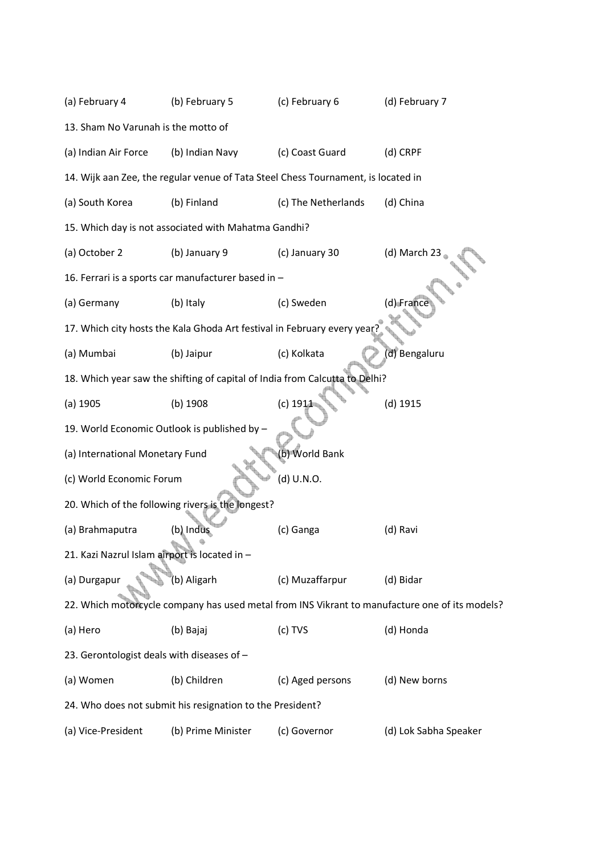| (a) February 4                                | (b) February 5                                                                    | (c) February 6      | (d) February 7                                                                                 |
|-----------------------------------------------|-----------------------------------------------------------------------------------|---------------------|------------------------------------------------------------------------------------------------|
| 13. Sham No Varunah is the motto of           |                                                                                   |                     |                                                                                                |
| (a) Indian Air Force                          | (b) Indian Navy                                                                   | (c) Coast Guard     | (d) CRPF                                                                                       |
|                                               | 14. Wijk aan Zee, the regular venue of Tata Steel Chess Tournament, is located in |                     |                                                                                                |
| (a) South Korea                               | (b) Finland                                                                       | (c) The Netherlands | (d) China                                                                                      |
|                                               | 15. Which day is not associated with Mahatma Gandhi?                              |                     |                                                                                                |
| (a) October 2                                 | (b) January 9                                                                     | (c) January 30      | (d) March 23                                                                                   |
|                                               | 16. Ferrari is a sports car manufacturer based in -                               |                     |                                                                                                |
| (a) Germany                                   | (b) Italy                                                                         | (c) Sweden          | (d) France                                                                                     |
|                                               | 17. Which city hosts the Kala Ghoda Art festival in February every year           |                     |                                                                                                |
| (a) Mumbai                                    | (b) Jaipur                                                                        | (c) Kolkata         | (d) Bengaluru                                                                                  |
|                                               | 18. Which year saw the shifting of capital of India from Calcutta to Delhi?       |                     |                                                                                                |
| $(a)$ 1905                                    | $(b)$ 1908                                                                        | $(c)$ 1911          | $(d)$ 1915                                                                                     |
|                                               | 19. World Economic Outlook is published by -                                      |                     |                                                                                                |
| (a) International Monetary Fund               |                                                                                   | (b) World Bank      |                                                                                                |
| (c) World Economic Forum                      |                                                                                   | (d) U.N.O.          |                                                                                                |
|                                               | 20. Which of the following rivers is the longest?                                 |                     |                                                                                                |
| (a) Brahmaputra                               | (b) Indus                                                                         | (c) Ganga           | (d) Ravi                                                                                       |
| 21. Kazi Nazrul Islam airport is located in - |                                                                                   |                     |                                                                                                |
| (a) Durgapur                                  | (b) Aligarh                                                                       | (c) Muzaffarpur     | (d) Bidar                                                                                      |
|                                               |                                                                                   |                     | 22. Which motorcycle company has used metal from INS Vikrant to manufacture one of its models? |
| (a) Hero                                      | (b) Bajaj                                                                         | (c) TVS             | (d) Honda                                                                                      |
| 23. Gerontologist deals with diseases of -    |                                                                                   |                     |                                                                                                |
| (a) Women                                     | (b) Children                                                                      | (c) Aged persons    | (d) New borns                                                                                  |
|                                               | 24. Who does not submit his resignation to the President?                         |                     |                                                                                                |
| (a) Vice-President                            | (b) Prime Minister                                                                | (c) Governor        | (d) Lok Sabha Speaker                                                                          |
|                                               |                                                                                   |                     |                                                                                                |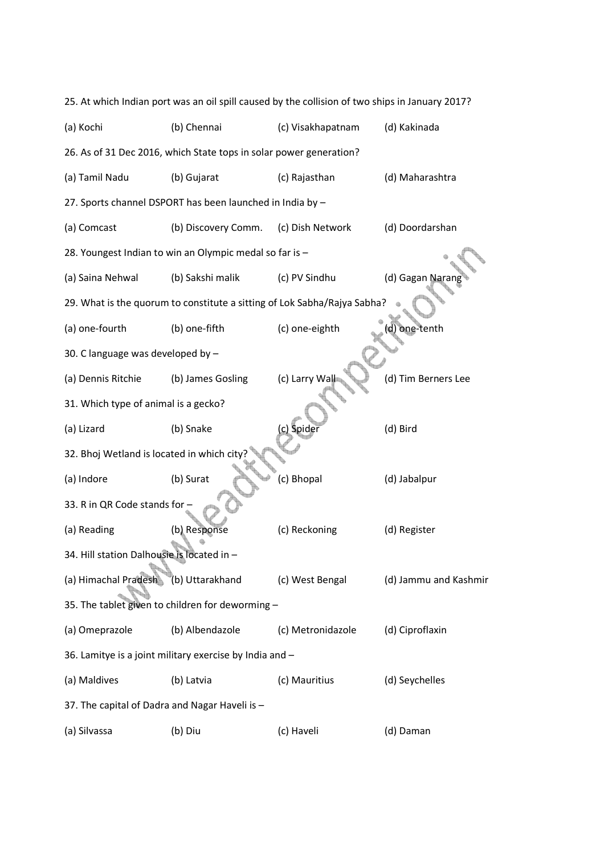| 25. At which Indian port was an oil spill caused by the collision of two ships in January 2017? |                                                                          |                   |                       |  |
|-------------------------------------------------------------------------------------------------|--------------------------------------------------------------------------|-------------------|-----------------------|--|
| (a) Kochi                                                                                       | (b) Chennai                                                              | (c) Visakhapatnam | (d) Kakinada          |  |
|                                                                                                 | 26. As of 31 Dec 2016, which State tops in solar power generation?       |                   |                       |  |
| (a) Tamil Nadu                                                                                  | (b) Gujarat                                                              | (c) Rajasthan     | (d) Maharashtra       |  |
|                                                                                                 | 27. Sports channel DSPORT has been launched in India by -                |                   |                       |  |
| (a) Comcast                                                                                     | (b) Discovery Comm.                                                      | (c) Dish Network  | (d) Doordarshan       |  |
|                                                                                                 | 28. Youngest Indian to win an Olympic medal so far is -                  |                   |                       |  |
| (a) Saina Nehwal                                                                                | (b) Sakshi malik                                                         | (c) PV Sindhu     | (d) Gagan Naran       |  |
|                                                                                                 | 29. What is the quorum to constitute a sitting of Lok Sabha/Rajya Sabha? |                   |                       |  |
| (a) one-fourth                                                                                  | (b) one-fifth                                                            | (c) one-eighth    | d) one-tenth          |  |
| 30. C language was developed by -                                                               |                                                                          |                   |                       |  |
| (a) Dennis Ritchie                                                                              | (b) James Gosling                                                        | (c) Larry Wall    | (d) Tim Berners Lee   |  |
| 31. Which type of animal is a gecko?                                                            |                                                                          |                   |                       |  |
| (a) Lizard                                                                                      | (b) Snake                                                                | (c) Spider        | (d) Bird              |  |
| 32. Bhoj Wetland is located in which city                                                       |                                                                          |                   |                       |  |
| (a) Indore                                                                                      | (b) Surat                                                                | (c) Bhopal        | (d) Jabalpur          |  |
| 33. R in QR Code stands for -                                                                   |                                                                          |                   |                       |  |
| (a) Reading                                                                                     | (b) Response                                                             | (c) Reckoning     | (d) Register          |  |
| 34. Hill station Dalhousie is located in -                                                      |                                                                          |                   |                       |  |
| (a) Himachal Pradesh                                                                            | (b) Uttarakhand                                                          | (c) West Bengal   | (d) Jammu and Kashmir |  |
| 35. The tablet given to children for deworming -                                                |                                                                          |                   |                       |  |
| (a) Omeprazole                                                                                  | (b) Albendazole                                                          | (c) Metronidazole | (d) Ciproflaxin       |  |
| 36. Lamitye is a joint military exercise by India and -                                         |                                                                          |                   |                       |  |
| (a) Maldives                                                                                    | (b) Latvia                                                               | (c) Mauritius     | (d) Seychelles        |  |
| 37. The capital of Dadra and Nagar Haveli is -                                                  |                                                                          |                   |                       |  |
| (a) Silvassa                                                                                    | (b) Diu                                                                  | (c) Haveli        | (d) Daman             |  |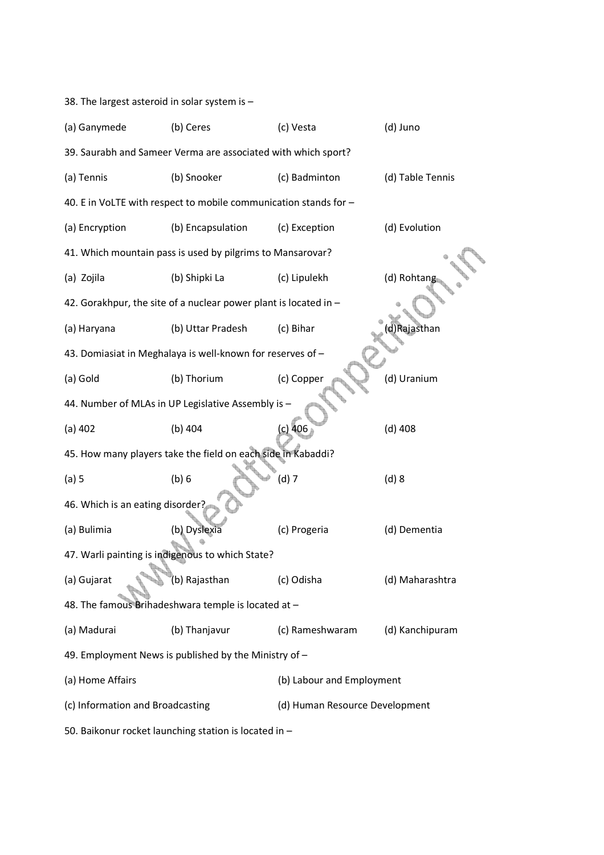38. The largest asteroid in solar system is –

| (a) Ganymede                                                  | (b) Ceres                                                        | (c) Vesta                      | (d) Juno         |  |
|---------------------------------------------------------------|------------------------------------------------------------------|--------------------------------|------------------|--|
| 39. Saurabh and Sameer Verma are associated with which sport? |                                                                  |                                |                  |  |
| (a) Tennis                                                    | (b) Snooker                                                      | (c) Badminton                  | (d) Table Tennis |  |
|                                                               | 40. E in VoLTE with respect to mobile communication stands for - |                                |                  |  |
| (a) Encryption                                                | (b) Encapsulation                                                | (c) Exception                  | (d) Evolution    |  |
|                                                               | 41. Which mountain pass is used by pilgrims to Mansarovar?       |                                |                  |  |
| (a) Zojila                                                    | (b) Shipki La                                                    | (c) Lipulekh                   | (d) Rohtang      |  |
|                                                               | 42. Gorakhpur, the site of a nuclear power plant is located in - |                                |                  |  |
| (a) Haryana                                                   | (b) Uttar Pradesh                                                | (c) Bihar                      | d)Rajasthan      |  |
|                                                               | 43. Domiasiat in Meghalaya is well-known for reserves of -       |                                |                  |  |
| (a) Gold                                                      | (b) Thorium                                                      | (c) Copper                     | (d) Uranium      |  |
|                                                               | 44. Number of MLAs in UP Legislative Assembly is -               |                                |                  |  |
| $(a)$ 402                                                     | $(b)$ 404                                                        | $(c)$ 406                      | $(d)$ 408        |  |
|                                                               | 45. How many players take the field on each side in Kabaddi?     |                                |                  |  |
| $(a)$ 5                                                       | (b)6                                                             | $(d)$ 7                        | (d) 8            |  |
| 46. Which is an eating disorder?                              |                                                                  |                                |                  |  |
| (a) Bulimia                                                   | (b) Dyslexia                                                     | (c) Progeria                   | (d) Dementia     |  |
|                                                               | 47. Warli painting is indigenous to which State?                 |                                |                  |  |
| (a) Gujarat                                                   | (b) Rajasthan                                                    | (c) Odisha                     | (d) Maharashtra  |  |
| 48. The famous Brihadeshwara temple is located at -           |                                                                  |                                |                  |  |
| (a) Madurai                                                   | (b) Thanjavur                                                    | (c) Rameshwaram                | (d) Kanchipuram  |  |
| 49. Employment News is published by the Ministry of -         |                                                                  |                                |                  |  |
| (a) Home Affairs                                              |                                                                  | (b) Labour and Employment      |                  |  |
| (c) Information and Broadcasting                              |                                                                  | (d) Human Resource Development |                  |  |
| 50. Baikonur rocket launching station is located in -         |                                                                  |                                |                  |  |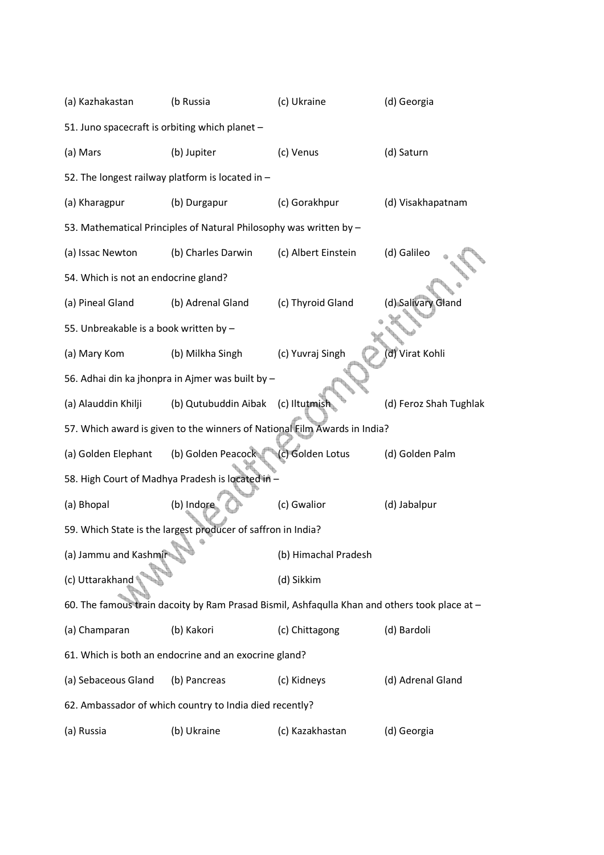| (a) Kazhakastan                                                           | (b Russia                                                                                     | (c) Ukraine          | (d) Georgia            |  |
|---------------------------------------------------------------------------|-----------------------------------------------------------------------------------------------|----------------------|------------------------|--|
|                                                                           | 51. Juno spacecraft is orbiting which planet -                                                |                      |                        |  |
| (a) Mars                                                                  | (b) Jupiter                                                                                   | (c) Venus            | (d) Saturn             |  |
|                                                                           | 52. The longest railway platform is located in -                                              |                      |                        |  |
| (a) Kharagpur                                                             | (b) Durgapur                                                                                  | (c) Gorakhpur        | (d) Visakhapatnam      |  |
|                                                                           | 53. Mathematical Principles of Natural Philosophy was written by -                            |                      |                        |  |
| (a) Issac Newton                                                          | (b) Charles Darwin                                                                            | (c) Albert Einstein  | (d) Galileo            |  |
| 54. Which is not an endocrine gland?                                      |                                                                                               |                      |                        |  |
| (a) Pineal Gland                                                          | (b) Adrenal Gland                                                                             | (c) Thyroid Gland    | (d) Salivary Gland     |  |
| 55. Unbreakable is a book written by -                                    |                                                                                               |                      |                        |  |
| (a) Mary Kom                                                              | (b) Milkha Singh                                                                              | (c) Yuvraj Singh     | d) Virat Kohli         |  |
|                                                                           | 56. Adhai din ka jhonpra in Ajmer was built by -                                              |                      |                        |  |
| (a) Alauddin Khilji                                                       | (b) Qutubuddin Aibak                                                                          | (c) Iltutmish        | (d) Feroz Shah Tughlak |  |
| 57. Which award is given to the winners of National Film Awards in India? |                                                                                               |                      |                        |  |
|                                                                           |                                                                                               |                      |                        |  |
| (a) Golden Elephant                                                       | (b) Golden Peacock                                                                            | (c) Golden Lotus     | (d) Golden Palm        |  |
|                                                                           | 58. High Court of Madhya Pradesh is located in                                                |                      |                        |  |
| (a) Bhopal                                                                | (b) Indore                                                                                    | (c) Gwalior          | (d) Jabalpur           |  |
|                                                                           | 59. Which State is the largest producer of saffron in India?                                  |                      |                        |  |
| (a) Jammu and Kashmir                                                     |                                                                                               | (b) Himachal Pradesh |                        |  |
| (c) Uttarakhand                                                           |                                                                                               | (d) Sikkim           |                        |  |
|                                                                           | 60. The famous train dacoity by Ram Prasad Bismil, Ashfaqulla Khan and others took place at - |                      |                        |  |
| (a) Champaran                                                             | (b) Kakori                                                                                    | (c) Chittagong       | (d) Bardoli            |  |
|                                                                           | 61. Which is both an endocrine and an exocrine gland?                                         |                      |                        |  |
| (a) Sebaceous Gland                                                       | (b) Pancreas                                                                                  | (c) Kidneys          | (d) Adrenal Gland      |  |
|                                                                           | 62. Ambassador of which country to India died recently?                                       |                      |                        |  |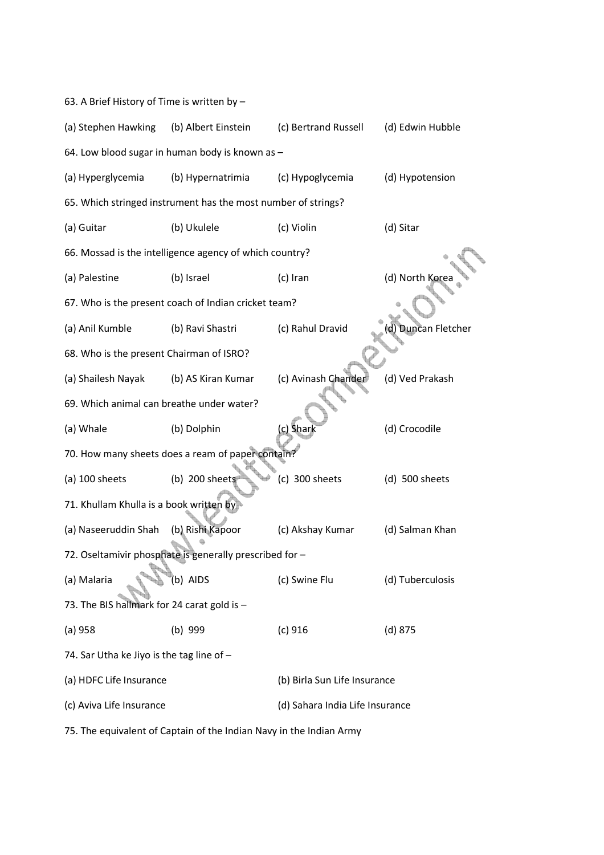|  | 63. A Brief History of Time is written by - |  |
|--|---------------------------------------------|--|
|--|---------------------------------------------|--|

| (a) Stephen Hawking                             | (b) Albert Einstein                                           | (c) Bertrand Russell            | (d) Edwin Hubble   |  |
|-------------------------------------------------|---------------------------------------------------------------|---------------------------------|--------------------|--|
| 64. Low blood sugar in human body is known as - |                                                               |                                 |                    |  |
| (a) Hyperglycemia                               | (b) Hypernatrimia                                             | (c) Hypoglycemia                | (d) Hypotension    |  |
|                                                 | 65. Which stringed instrument has the most number of strings? |                                 |                    |  |
| (a) Guitar                                      | (b) Ukulele                                                   | (c) Violin                      | (d) Sitar          |  |
|                                                 | 66. Mossad is the intelligence agency of which country?       |                                 |                    |  |
| (a) Palestine                                   | (b) Israel                                                    | (c) Iran                        | (d) North Kore     |  |
|                                                 | 67. Who is the present coach of Indian cricket team?          |                                 |                    |  |
| (a) Anil Kumble                                 | (b) Ravi Shastri                                              | (c) Rahul Dravid                | d) Duncan Fletcher |  |
| 68. Who is the present Chairman of ISRO?        |                                                               |                                 |                    |  |
| (a) Shailesh Nayak                              | (b) AS Kiran Kumar                                            | (c) Avinash Chander             | (d) Ved Prakash    |  |
| 69. Which animal can breathe under water?       |                                                               |                                 |                    |  |
| (a) Whale                                       | (b) Dolphin                                                   | c) Shark                        | (d) Crocodile      |  |
|                                                 | 70. How many sheets does a ream of paper contain?             |                                 |                    |  |
| $(a)$ 100 sheets                                | $(b)$ 200 sheets                                              | $(c)$ 300 sheets                | $(d)$ 500 sheets   |  |
| 71. Khullam Khulla is a book written by         |                                                               |                                 |                    |  |
| (a) Naseeruddin Shah                            | (b) Rishi Kapoor                                              | (c) Akshay Kumar                | (d) Salman Khan    |  |
|                                                 | 72. Oseltamivir phosphate is generally prescribed for -       |                                 |                    |  |
| (a) Malaria                                     | (b) AIDS                                                      | (c) Swine Flu                   | (d) Tuberculosis   |  |
| 73. The BIS hallmark for 24 carat gold is -     |                                                               |                                 |                    |  |
| (a) 958                                         | $(b)$ 999                                                     | (c) 916                         | $(d)$ 875          |  |
| 74. Sar Utha ke Jiyo is the tag line of -       |                                                               |                                 |                    |  |
| (a) HDFC Life Insurance                         |                                                               | (b) Birla Sun Life Insurance    |                    |  |
| (c) Aviva Life Insurance                        |                                                               | (d) Sahara India Life Insurance |                    |  |
|                                                 |                                                               |                                 |                    |  |

75. The equivalent of Captain of the Indian Navy in the Indian Army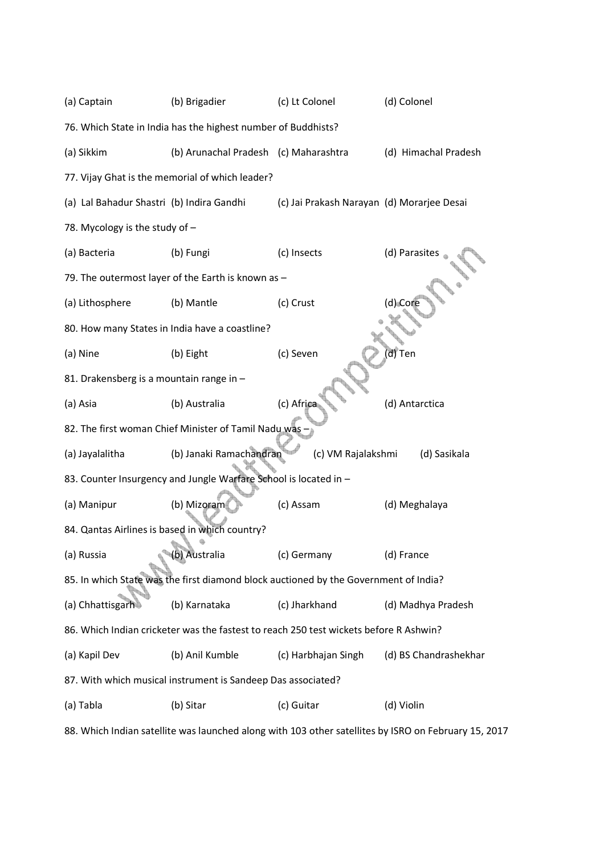| (a) Captain                                                                           | (b) Brigadier                                                    | (c) Lt Colonel                             | (d) Colonel           |  |
|---------------------------------------------------------------------------------------|------------------------------------------------------------------|--------------------------------------------|-----------------------|--|
|                                                                                       | 76. Which State in India has the highest number of Buddhists?    |                                            |                       |  |
| (a) Sikkim                                                                            | (b) Arunachal Pradesh (c) Maharashtra                            |                                            | (d) Himachal Pradesh  |  |
|                                                                                       | 77. Vijay Ghat is the memorial of which leader?                  |                                            |                       |  |
| (a) Lal Bahadur Shastri (b) Indira Gandhi                                             |                                                                  | (c) Jai Prakash Narayan (d) Morarjee Desai |                       |  |
| 78. Mycology is the study of -                                                        |                                                                  |                                            |                       |  |
| (a) Bacteria                                                                          | (b) Fungi                                                        | (c) Insects                                | (d) Parasites         |  |
|                                                                                       | 79. The outermost layer of the Earth is known as -               |                                            |                       |  |
| (a) Lithosphere                                                                       | (b) Mantle                                                       | (c) Crust                                  | (d) Core              |  |
| 80. How many States in India have a coastline?                                        |                                                                  |                                            |                       |  |
| (a) Nine                                                                              | (b) Eight                                                        | (c) Seven                                  | d) Ten                |  |
| 81. Drakensberg is a mountain range in -                                              |                                                                  |                                            |                       |  |
| (a) Asia                                                                              | (b) Australia                                                    | (c) Africa                                 | (d) Antarctica        |  |
| 82. The first woman Chief Minister of Tamil Nadu was -                                |                                                                  |                                            |                       |  |
| (a) Jayalalitha                                                                       | (b) Janaki Ramachandran                                          | (c) VM Rajalakshmi                         | (d) Sasikala          |  |
|                                                                                       | 83. Counter Insurgency and Jungle Warfare School is located in - |                                            |                       |  |
| (a) Manipur                                                                           | (b) Mizoram                                                      | (c) Assam                                  | (d) Meghalaya         |  |
| 84. Qantas Airlines is based in which country?                                        |                                                                  |                                            |                       |  |
| (a) Russia                                                                            | (b) Australia                                                    | (c) Germany                                | (d) France            |  |
| 85. In which State was the first diamond block auctioned by the Government of India?  |                                                                  |                                            |                       |  |
| (a) Chhattisgarh                                                                      | (b) Karnataka                                                    | (c) Jharkhand                              | (d) Madhya Pradesh    |  |
| 86. Which Indian cricketer was the fastest to reach 250 test wickets before R Ashwin? |                                                                  |                                            |                       |  |
| (a) Kapil Dev                                                                         | (b) Anil Kumble                                                  | (c) Harbhajan Singh                        | (d) BS Chandrashekhar |  |
|                                                                                       | 87. With which musical instrument is Sandeep Das associated?     |                                            |                       |  |
| (a) Tabla                                                                             | (b) Sitar                                                        | (c) Guitar                                 | (d) Violin            |  |

88. Which Indian satellite was launched along with 103 other satellites by ISRO on February 15, 2017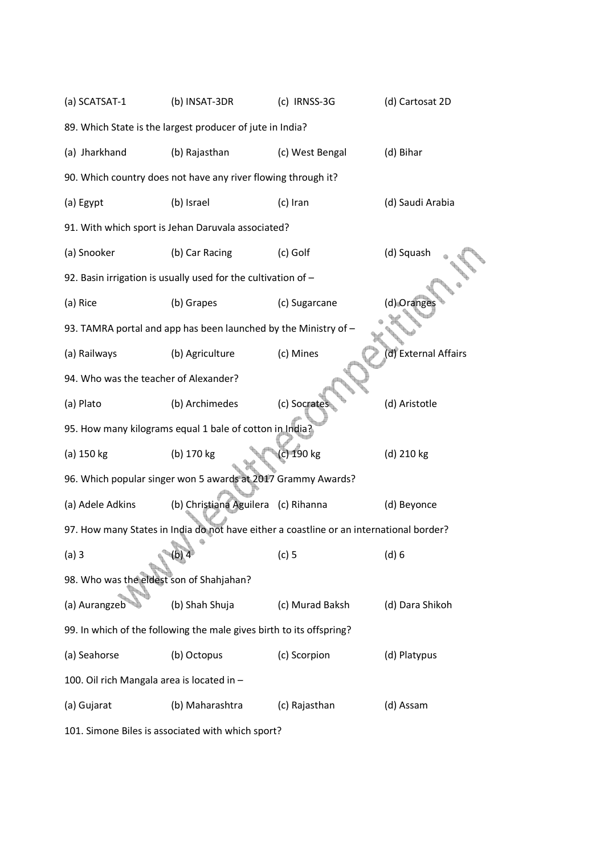| (a) SCATSAT-1                                                        | (b) INSAT-3DR                                                   | (c) IRNSS-3G                                                                            | (d) Cartosat 2D     |  |  |
|----------------------------------------------------------------------|-----------------------------------------------------------------|-----------------------------------------------------------------------------------------|---------------------|--|--|
| 89. Which State is the largest producer of jute in India?            |                                                                 |                                                                                         |                     |  |  |
| (a) Jharkhand                                                        | (b) Rajasthan                                                   | (c) West Bengal                                                                         | (d) Bihar           |  |  |
|                                                                      | 90. Which country does not have any river flowing through it?   |                                                                                         |                     |  |  |
| (a) Egypt                                                            | (b) Israel                                                      | (c) Iran                                                                                | (d) Saudi Arabia    |  |  |
|                                                                      | 91. With which sport is Jehan Daruvala associated?              |                                                                                         |                     |  |  |
| (a) Snooker                                                          | (b) Car Racing                                                  | (c) Golf                                                                                | (d) Squash          |  |  |
|                                                                      | 92. Basin irrigation is usually used for the cultivation of -   |                                                                                         |                     |  |  |
| (a) Rice                                                             | (b) Grapes                                                      | (c) Sugarcane                                                                           | (d) Orange          |  |  |
|                                                                      | 93. TAMRA portal and app has been launched by the Ministry of - |                                                                                         |                     |  |  |
| (a) Railways                                                         | (b) Agriculture                                                 | (c) Mines                                                                               | d) External Affairs |  |  |
| 94. Who was the teacher of Alexander?                                |                                                                 |                                                                                         |                     |  |  |
| (a) Plato                                                            | (b) Archimedes                                                  | (c) Socrates                                                                            | (d) Aristotle       |  |  |
|                                                                      | 95. How many kilograms equal 1 bale of cotton in India?         |                                                                                         |                     |  |  |
| (a) 150 kg                                                           | (b) 170 kg                                                      | (c) 190 kg                                                                              | (d) 210 kg          |  |  |
|                                                                      | 96. Which popular singer won 5 awards at 2017 Grammy Awards?    |                                                                                         |                     |  |  |
| (a) Adele Adkins                                                     | (b) Christiana Aguilera (c) Rihanna                             |                                                                                         | (d) Beyonce         |  |  |
|                                                                      |                                                                 | 97. How many States in India do not have either a coastline or an international border? |                     |  |  |
| (a)3                                                                 | $(b)$ 4                                                         | $(c)$ 5                                                                                 | (d) 6               |  |  |
| 98. Who was the eldest son of Shahjahan?                             |                                                                 |                                                                                         |                     |  |  |
| (a) Aurangzeb                                                        | (b) Shah Shuja                                                  | (c) Murad Baksh                                                                         | (d) Dara Shikoh     |  |  |
| 99. In which of the following the male gives birth to its offspring? |                                                                 |                                                                                         |                     |  |  |
| (a) Seahorse                                                         | (b) Octopus                                                     | (c) Scorpion                                                                            | (d) Platypus        |  |  |
| 100. Oil rich Mangala area is located in -                           |                                                                 |                                                                                         |                     |  |  |
| (a) Gujarat                                                          | (b) Maharashtra                                                 | (c) Rajasthan                                                                           | (d) Assam           |  |  |
|                                                                      |                                                                 |                                                                                         |                     |  |  |

101. Simone Biles is associated with which sport?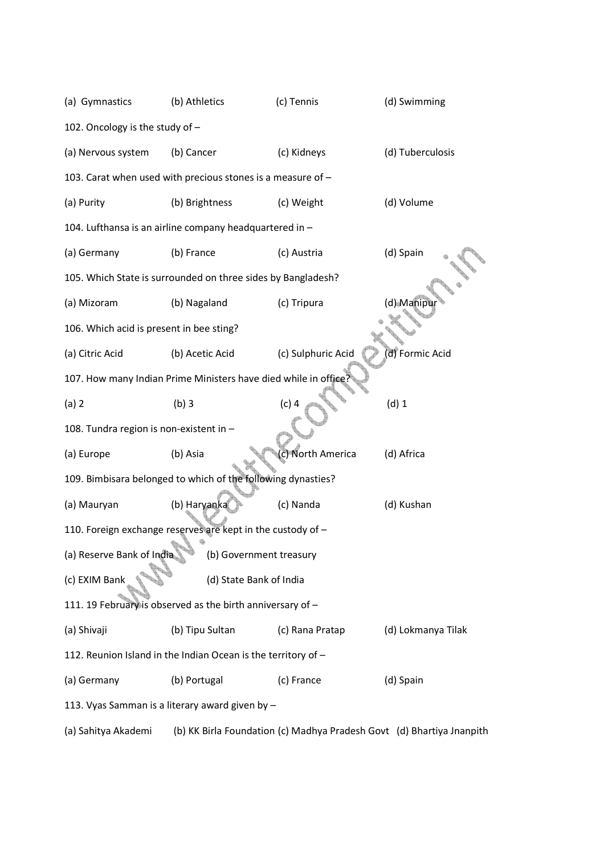| (a) Gymnastics                                                | (b) Athletics                                                   | (c) Tennis         | (d) Swimming       |  |  |
|---------------------------------------------------------------|-----------------------------------------------------------------|--------------------|--------------------|--|--|
| 102. Oncology is the study of -                               |                                                                 |                    |                    |  |  |
| (a) Nervous system                                            | (b) Cancer                                                      | (c) Kidneys        | (d) Tuberculosis   |  |  |
|                                                               | 103. Carat when used with precious stones is a measure of -     |                    |                    |  |  |
| (a) Purity                                                    | (b) Brightness                                                  | (c) Weight         | (d) Volume         |  |  |
|                                                               | 104. Lufthansa is an airline company headquartered in -         |                    |                    |  |  |
| (a) Germany                                                   | (b) France                                                      | (c) Austria        | (d) Spain          |  |  |
|                                                               | 105. Which State is surrounded on three sides by Bangladesh?    |                    |                    |  |  |
| (a) Mizoram                                                   | (b) Nagaland                                                    | (c) Tripura        | (d) Manipul        |  |  |
| 106. Which acid is present in bee sting?                      |                                                                 |                    |                    |  |  |
| (a) Citric Acid                                               | (b) Acetic Acid                                                 | (c) Sulphuric Acid | d) Formic Acid     |  |  |
|                                                               | 107. How many Indian Prime Ministers have died while in office? |                    |                    |  |  |
| (a) 2                                                         | $(b)$ 3                                                         | $(c)$ 4            | $(d)$ 1            |  |  |
| 108. Tundra region is non-existent in -                       |                                                                 |                    |                    |  |  |
| (a) Europe                                                    | (b) Asia                                                        | (c) North America  | (d) Africa         |  |  |
|                                                               | 109. Bimbisara belonged to which of the following dynasties?    |                    |                    |  |  |
| (a) Mauryan                                                   | (b) Haryanka                                                    | (c) Nanda          | (d) Kushan         |  |  |
|                                                               | 110. Foreign exchange reserves are kept in the custody of -     |                    |                    |  |  |
| (a) Reserve Bank of India                                     | (b) Government treasury                                         |                    |                    |  |  |
| (c) EXIM Bank                                                 | (d) State Bank of India                                         |                    |                    |  |  |
| 111. 19 February is observed as the birth anniversary of -    |                                                                 |                    |                    |  |  |
| (a) Shivaji                                                   | (b) Tipu Sultan                                                 | (c) Rana Pratap    | (d) Lokmanya Tilak |  |  |
| 112. Reunion Island in the Indian Ocean is the territory of - |                                                                 |                    |                    |  |  |
| (a) Germany                                                   | (b) Portugal                                                    | (c) France         | (d) Spain          |  |  |
|                                                               | 113. Vyas Samman is a literary award given by -                 |                    |                    |  |  |
|                                                               |                                                                 |                    |                    |  |  |

(a) Sahitya Akademi (b) KK Birla Foundation (c) Madhya Pradesh Govt (d) Bhartiya Jnanpith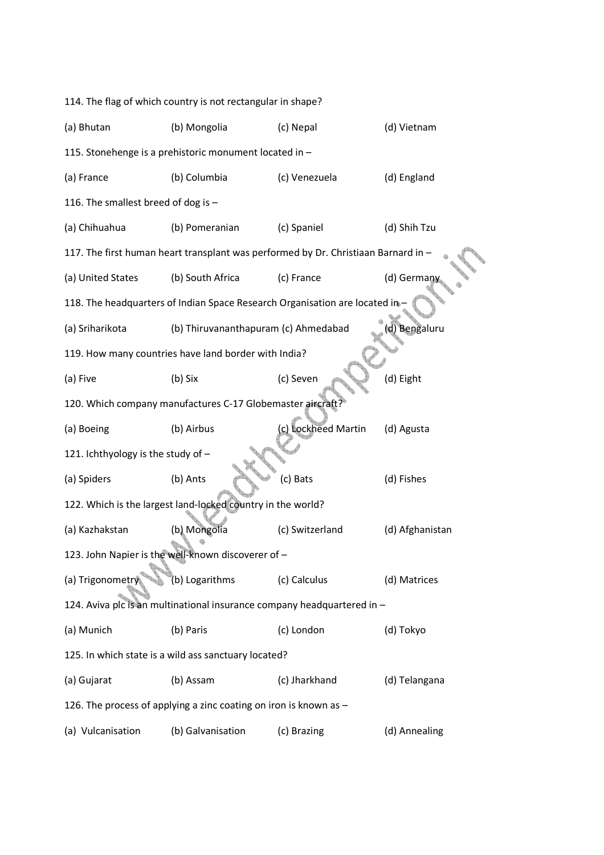| 114. The flag of which country is not rectangular in shape? |                                                                                    |                     |                 |  |
|-------------------------------------------------------------|------------------------------------------------------------------------------------|---------------------|-----------------|--|
| (a) Bhutan                                                  | (b) Mongolia                                                                       | (c) Nepal           | (d) Vietnam     |  |
|                                                             | 115. Stonehenge is a prehistoric monument located in -                             |                     |                 |  |
| (a) France                                                  | (b) Columbia                                                                       | (c) Venezuela       | (d) England     |  |
| 116. The smallest breed of dog is -                         |                                                                                    |                     |                 |  |
| (a) Chihuahua                                               | (b) Pomeranian                                                                     | (c) Spaniel         | (d) Shih Tzu    |  |
|                                                             | 117. The first human heart transplant was performed by Dr. Christiaan Barnard in - |                     |                 |  |
| (a) United States                                           | (b) South Africa                                                                   | (c) France          | (d) German      |  |
|                                                             | 118. The headquarters of Indian Space Research Organisation are located in-        |                     |                 |  |
| (a) Sriharikota                                             | (b) Thiruvananthapuram (c) Ahmedabad                                               |                     | d) Bengaluru    |  |
|                                                             | 119. How many countries have land border with India?                               |                     |                 |  |
| (a) Five                                                    | (b) Six                                                                            | (c) Seven           | (d) Eight       |  |
|                                                             | 120. Which company manufactures C-17 Globemaster aircraft?                         |                     |                 |  |
| (a) Boeing                                                  | (b) Airbus                                                                         | (c) Lockheed Martin | (d) Agusta      |  |
| 121. Ichthyology is the study of -                          |                                                                                    |                     |                 |  |
| (a) Spiders                                                 | (b) Ants                                                                           | (c) Bats            | (d) Fishes      |  |
|                                                             | 122. Which is the largest land-locked country in the world?                        |                     |                 |  |
| (a) Kazhakstan                                              | (b) Mongolia                                                                       | (c) Switzerland     | (d) Afghanistan |  |
|                                                             | 123. John Napier is the well-known discoverer of -                                 |                     |                 |  |
| (a) Trigonometr                                             | (b) Logarithms                                                                     | (c) Calculus        | (d) Matrices    |  |
|                                                             | 124. Aviva plc is an multinational insurance company headquartered in -            |                     |                 |  |
| (a) Munich                                                  | (b) Paris                                                                          | (c) London          | (d) Tokyo       |  |
|                                                             | 125. In which state is a wild ass sanctuary located?                               |                     |                 |  |
| (a) Gujarat                                                 | (b) Assam                                                                          | (c) Jharkhand       | (d) Telangana   |  |
|                                                             | 126. The process of applying a zinc coating on iron is known as -                  |                     |                 |  |
| (a) Vulcanisation                                           | (b) Galvanisation                                                                  | (c) Brazing         | (d) Annealing   |  |
|                                                             |                                                                                    |                     |                 |  |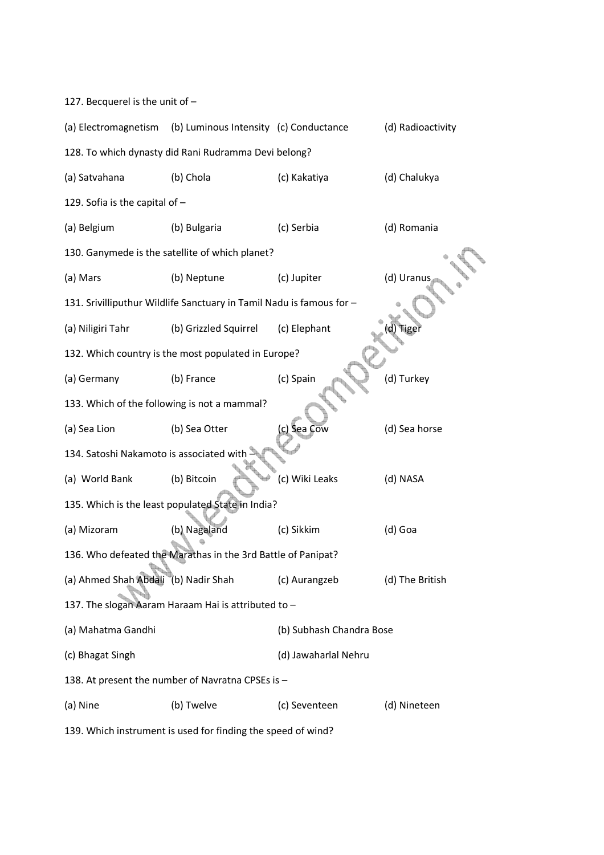127. Becquerel is the unit of – (a) Electromagnetism (b) Luminous Intensity (c) Conductance (d) Radioactivity 128. To which dynasty did Rani Rudramma Devi belong? (a) Satvahana (b) Chola (c) Kakatiya (d) Chalukya 129. Sofia is the capital of – (a) Belgium (b) Bulgaria (c) Serbia (d) Romania 130. Ganymede is the satellite of which planet? (a) Mars (b) Neptune (c) Jupiter (d) Uranus 131. Srivilliputhur Wildlife Sanctuary in Tamil Nadu is famous for – (a) Niligiri Tahr (b) Grizzled Squirrel (c) Elephant 132. Which country is the most populated in Europe? (a) Germany (b) France (c) Spain (d) Turkey 133. Which of the following is not a mammal? (a) Sea Lion (b) Sea Otter (c) Sea Cow (d) Sea horse 134. Satoshi Nakamoto is associated with (a) World Bank (b) Bitcoin (c) Wiki Leaks (d) NASA 135. Which is the least populated State in India? (a) Mizoram (b) Nagaland (c) Sikkim (d) Goa 136. Who defeated the Marathas in the 3rd Battle of Panipat? (a) Ahmed Shah Abdali (b) Nadir Shah (c) Aurangzeb (d) The British 137. The slogan Aaram Haraam Hai is attributed to – (a) Mahatma Gandhi (b) Subhash Chandra Bose (c) Bhagat Singh (d) Jawaharlal Nehru 138. At present the number of Navratna CPSEs is – (a) Nine (b) Twelve (c) Seventeen (d) Nineteen

139. Which instrument is used for finding the speed of wind?